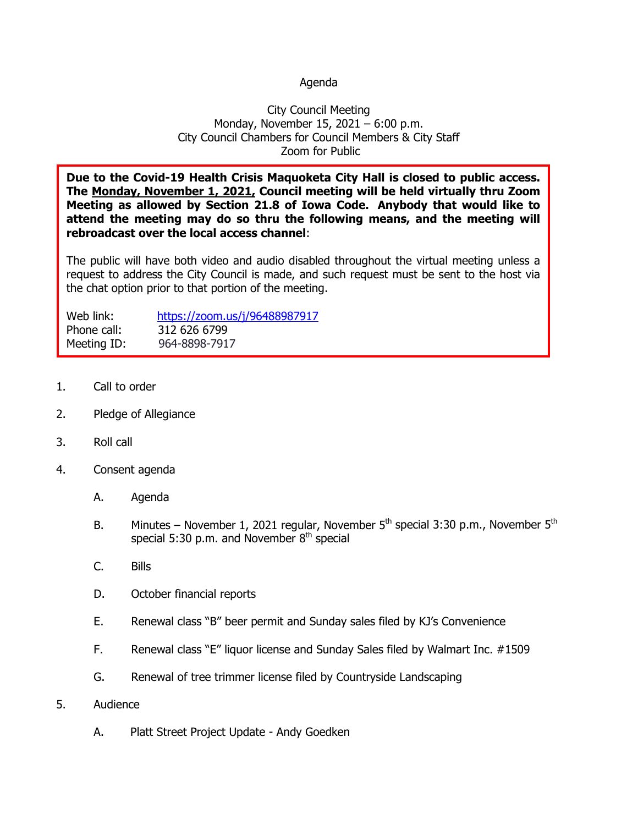## Agenda

## City Council Meeting Monday, November 15, 2021 – 6:00 p.m. City Council Chambers for Council Members & City Staff Zoom for Public

**Due to the Covid-19 Health Crisis Maquoketa City Hall is closed to public access. The Monday, November 1, 2021, Council meeting will be held virtually thru Zoom Meeting as allowed by Section 21.8 of Iowa Code. Anybody that would like to attend the meeting may do so thru the following means, and the meeting will rebroadcast over the local access channel**:

The public will have both video and audio disabled throughout the virtual meeting unless a request to address the City Council is made, and such request must be sent to the host via the chat option prior to that portion of the meeting.

| Web link:   | https://zoom.us/j/96488987917 |
|-------------|-------------------------------|
| Phone call: | 312 626 6799                  |
| Meeting ID: | 964-8898-7917                 |

- 1. Call to order
- 2. Pledge of Allegiance
- 3. Roll call
- 4. Consent agenda
	- A. Agenda
	- B. Minutes November 1, 2021 regular, November  $5<sup>th</sup>$  special 3:30 p.m., November  $5<sup>th</sup>$ special 5:30 p.m. and November  $8<sup>th</sup>$  special
	- C. Bills
	- D. October financial reports
	- E. Renewal class "B" beer permit and Sunday sales filed by KJ's Convenience
	- F. Renewal class "E" liquor license and Sunday Sales filed by Walmart Inc. #1509
	- G. Renewal of tree trimmer license filed by Countryside Landscaping
- 5. Audience
	- A. Platt Street Project Update Andy Goedken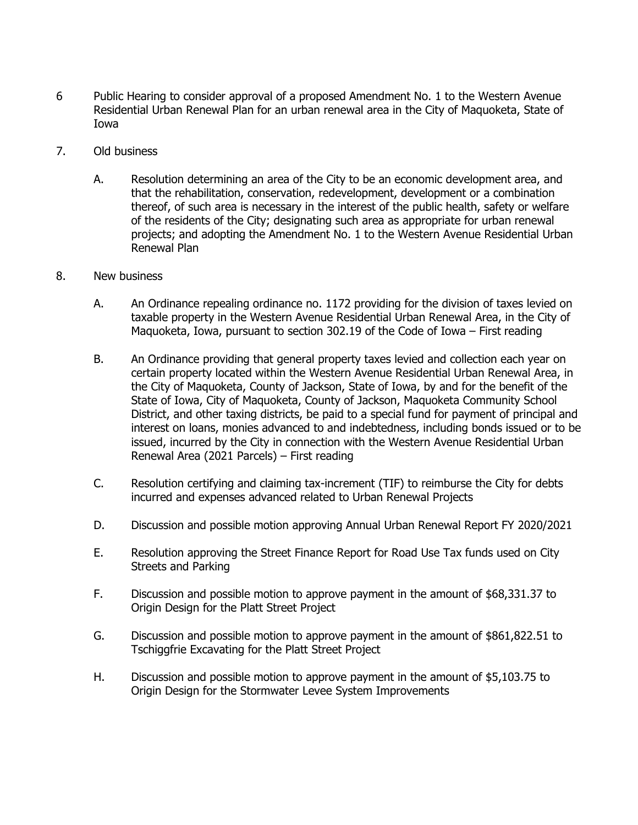- 6 Public Hearing to consider approval of a proposed Amendment No. 1 to the Western Avenue Residential Urban Renewal Plan for an urban renewal area in the City of Maquoketa, State of Iowa
- 7. Old business
	- A. Resolution determining an area of the City to be an economic development area, and that the rehabilitation, conservation, redevelopment, development or a combination thereof, of such area is necessary in the interest of the public health, safety or welfare of the residents of the City; designating such area as appropriate for urban renewal projects; and adopting the Amendment No. 1 to the Western Avenue Residential Urban Renewal Plan
- 8. New business
	- A. An Ordinance repealing ordinance no. 1172 providing for the division of taxes levied on taxable property in the Western Avenue Residential Urban Renewal Area, in the City of Maquoketa, Iowa, pursuant to section 302.19 of the Code of Iowa – First reading
	- B. An Ordinance providing that general property taxes levied and collection each year on certain property located within the Western Avenue Residential Urban Renewal Area, in the City of Maquoketa, County of Jackson, State of Iowa, by and for the benefit of the State of Iowa, City of Maquoketa, County of Jackson, Maquoketa Community School District, and other taxing districts, be paid to a special fund for payment of principal and interest on loans, monies advanced to and indebtedness, including bonds issued or to be issued, incurred by the City in connection with the Western Avenue Residential Urban Renewal Area (2021 Parcels) – First reading
	- C. Resolution certifying and claiming tax-increment (TIF) to reimburse the City for debts incurred and expenses advanced related to Urban Renewal Projects
	- D. Discussion and possible motion approving Annual Urban Renewal Report FY 2020/2021
	- E. Resolution approving the Street Finance Report for Road Use Tax funds used on City Streets and Parking
	- F. Discussion and possible motion to approve payment in the amount of \$68,331.37 to Origin Design for the Platt Street Project
	- G. Discussion and possible motion to approve payment in the amount of \$861,822.51 to Tschiggfrie Excavating for the Platt Street Project
	- H. Discussion and possible motion to approve payment in the amount of \$5,103.75 to Origin Design for the Stormwater Levee System Improvements